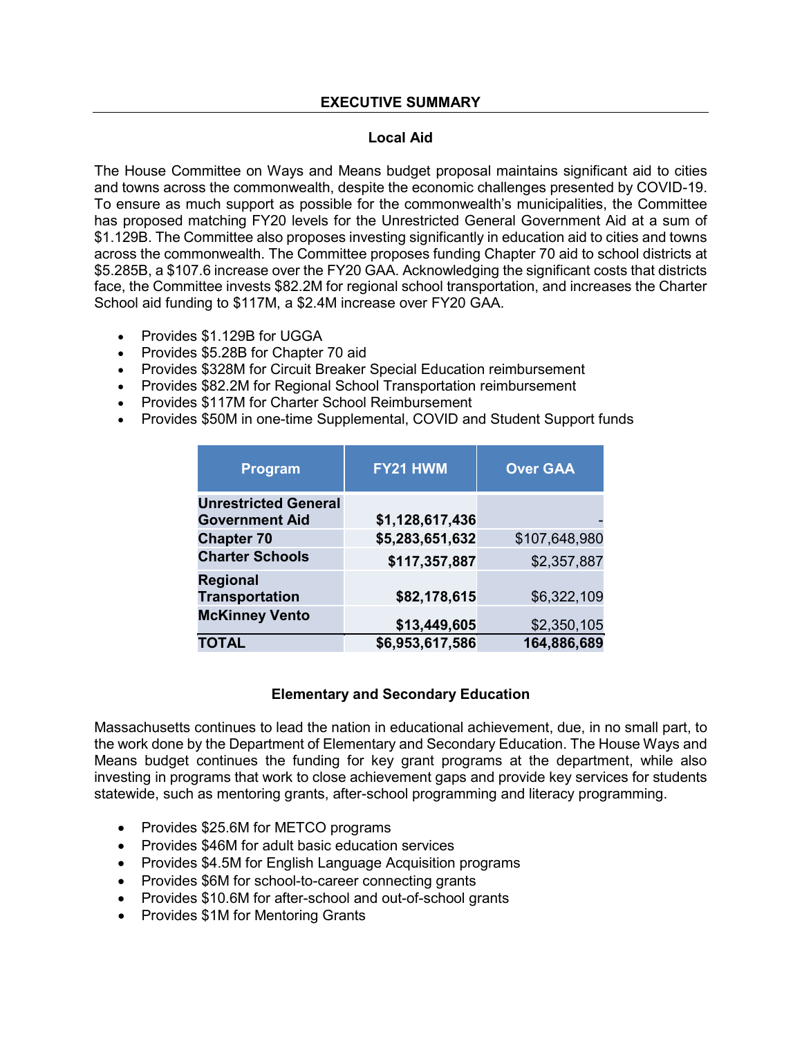#### **EXECUTIVE SUMMARY**

#### **Local Aid**

The House Committee on Ways and Means budget proposal maintains significant aid to cities and towns across the commonwealth, despite the economic challenges presented by COVID-19. To ensure as much support as possible for the commonwealth's municipalities, the Committee has proposed matching FY20 levels for the Unrestricted General Government Aid at a sum of \$1.129B. The Committee also proposes investing significantly in education aid to cities and towns across the commonwealth. The Committee proposes funding Chapter 70 aid to school districts at \$5.285B, a \$107.6 increase over the FY20 GAA. Acknowledging the significant costs that districts face, the Committee invests \$82.2M for regional school transportation, and increases the Charter School aid funding to \$117M, a \$2.4M increase over FY20 GAA.

- Provides \$1.129B for UGGA
- Provides \$5.28B for Chapter 70 aid
- Provides \$328M for Circuit Breaker Special Education reimbursement
- Provides \$82.2M for Regional School Transportation reimbursement
- Provides \$117M for Charter School Reimbursement
- Provides \$50M in one-time Supplemental, COVID and Student Support funds

| Program                                              | FY21 HWM        | <b>Over GAA</b> |
|------------------------------------------------------|-----------------|-----------------|
| <b>Unrestricted General</b><br><b>Government Aid</b> | \$1,128,617,436 |                 |
| <b>Chapter 70</b>                                    | \$5,283,651,632 | \$107,648,980   |
| <b>Charter Schools</b>                               | \$117,357,887   | \$2,357,887     |
| <b>Regional</b><br><b>Transportation</b>             | \$82,178,615    | \$6,322,109     |
| <b>McKinney Vento</b>                                | \$13,449,605    | \$2,350,105     |
| <b>TOTAL</b>                                         | \$6,953,617,586 | 164,886,689     |

#### **Elementary and Secondary Education**

Massachusetts continues to lead the nation in educational achievement, due, in no small part, to the work done by the Department of Elementary and Secondary Education. The House Ways and Means budget continues the funding for key grant programs at the department, while also investing in programs that work to close achievement gaps and provide key services for students statewide, such as mentoring grants, after-school programming and literacy programming.

- Provides \$25.6M for METCO programs
- Provides \$46M for adult basic education services
- Provides \$4.5M for English Language Acquisition programs
- Provides \$6M for school-to-career connecting grants
- Provides \$10.6M for after-school and out-of-school grants
- Provides \$1M for Mentoring Grants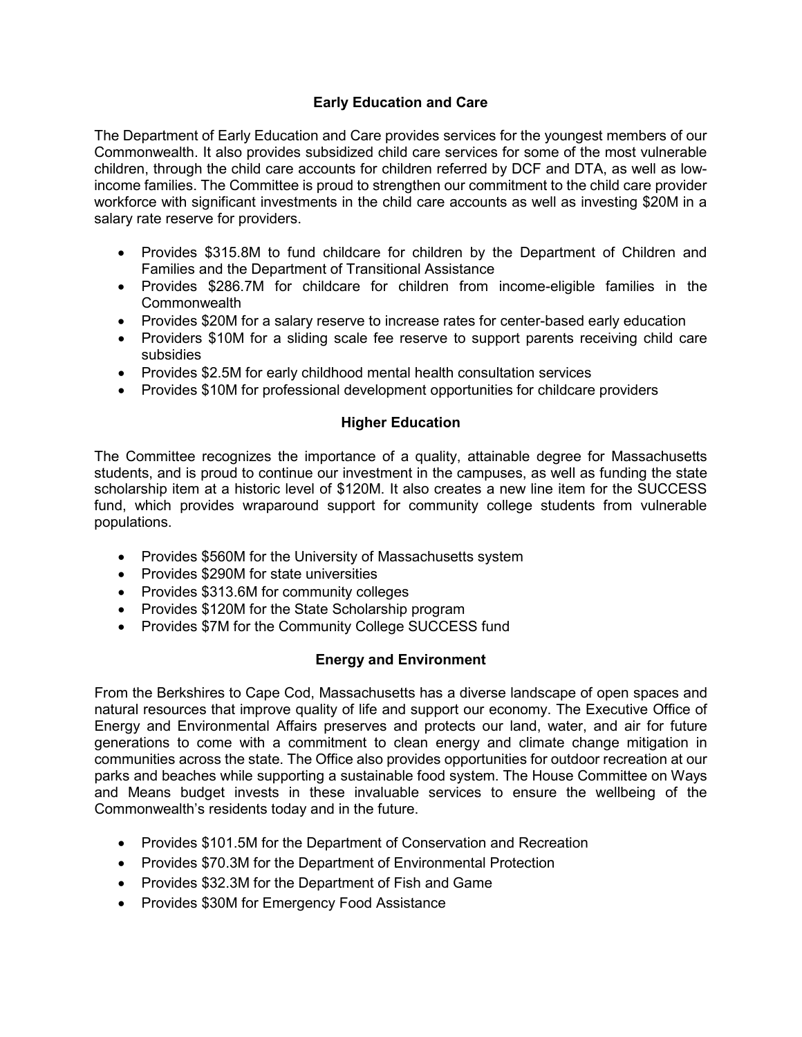## **Early Education and Care**

The Department of Early Education and Care provides services for the youngest members of our Commonwealth. It also provides subsidized child care services for some of the most vulnerable children, through the child care accounts for children referred by DCF and DTA, as well as lowincome families. The Committee is proud to strengthen our commitment to the child care provider workforce with significant investments in the child care accounts as well as investing \$20M in a salary rate reserve for providers.

- Provides \$315.8M to fund childcare for children by the Department of Children and Families and the Department of Transitional Assistance
- Provides \$286.7M for childcare for children from income-eligible families in the **Commonwealth**
- Provides \$20M for a salary reserve to increase rates for center-based early education
- Providers \$10M for a sliding scale fee reserve to support parents receiving child care subsidies
- Provides \$2.5M for early childhood mental health consultation services
- Provides \$10M for professional development opportunities for childcare providers

### **Higher Education**

The Committee recognizes the importance of a quality, attainable degree for Massachusetts students, and is proud to continue our investment in the campuses, as well as funding the state scholarship item at a historic level of \$120M. It also creates a new line item for the SUCCESS fund, which provides wraparound support for community college students from vulnerable populations.

- Provides \$560M for the University of Massachusetts system
- Provides \$290M for state universities
- Provides \$313.6M for community colleges
- Provides \$120M for the State Scholarship program
- Provides \$7M for the Community College SUCCESS fund

### **Energy and Environment**

From the Berkshires to Cape Cod, Massachusetts has a diverse landscape of open spaces and natural resources that improve quality of life and support our economy. The Executive Office of Energy and Environmental Affairs preserves and protects our land, water, and air for future generations to come with a commitment to clean energy and climate change mitigation in communities across the state. The Office also provides opportunities for outdoor recreation at our parks and beaches while supporting a sustainable food system. The House Committee on Ways and Means budget invests in these invaluable services to ensure the wellbeing of the Commonwealth's residents today and in the future.

- Provides \$101.5M for the Department of Conservation and Recreation
- Provides \$70.3M for the Department of Environmental Protection
- Provides \$32.3M for the Department of Fish and Game
- Provides \$30M for Emergency Food Assistance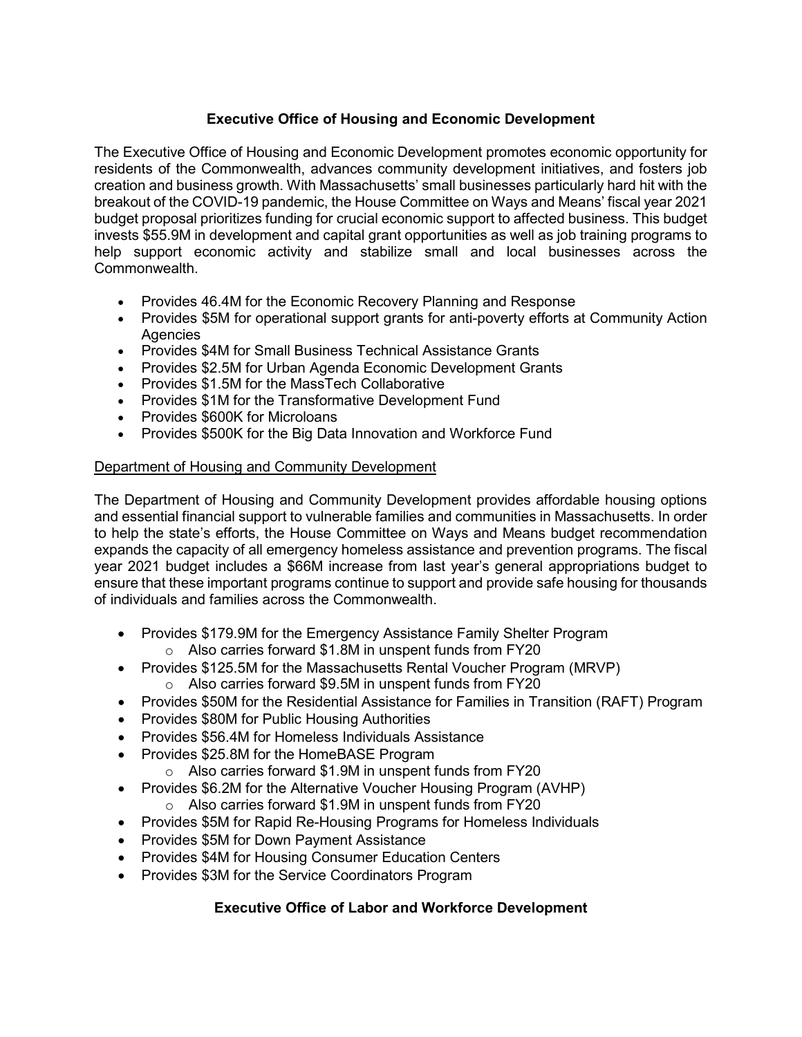# **Executive Office of Housing and Economic Development**

The Executive Office of Housing and Economic Development promotes economic opportunity for residents of the Commonwealth, advances community development initiatives, and fosters job creation and business growth. With Massachusetts' small businesses particularly hard hit with the breakout of the COVID-19 pandemic, the House Committee on Ways and Means' fiscal year 2021 budget proposal prioritizes funding for crucial economic support to affected business. This budget invests \$55.9M in development and capital grant opportunities as well as job training programs to help support economic activity and stabilize small and local businesses across the Commonwealth.

- Provides 46.4M for the Economic Recovery Planning and Response
- Provides \$5M for operational support grants for anti-poverty efforts at Community Action **Agencies**
- Provides \$4M for Small Business Technical Assistance Grants
- Provides \$2.5M for Urban Agenda Economic Development Grants
- Provides \$1.5M for the MassTech Collaborative
- Provides \$1M for the Transformative Development Fund
- Provides \$600K for Microloans
- Provides \$500K for the Big Data Innovation and Workforce Fund

### Department of Housing and Community Development

The Department of Housing and Community Development provides affordable housing options and essential financial support to vulnerable families and communities in Massachusetts. In order to help the state's efforts, the House Committee on Ways and Means budget recommendation expands the capacity of all emergency homeless assistance and prevention programs. The fiscal year 2021 budget includes a \$66M increase from last year's general appropriations budget to ensure that these important programs continue to support and provide safe housing for thousands of individuals and families across the Commonwealth.

- Provides \$179.9M for the Emergency Assistance Family Shelter Program o Also carries forward \$1.8M in unspent funds from FY20
- Provides \$125.5M for the Massachusetts Rental Voucher Program (MRVP)
	- o Also carries forward \$9.5M in unspent funds from FY20
- Provides \$50M for the Residential Assistance for Families in Transition (RAFT) Program
- Provides \$80M for Public Housing Authorities
- Provides \$56.4M for Homeless Individuals Assistance
- Provides \$25.8M for the HomeBASE Program
	- o Also carries forward \$1.9M in unspent funds from FY20
- Provides \$6.2M for the Alternative Voucher Housing Program (AVHP)
	- o Also carries forward \$1.9M in unspent funds from FY20
- Provides \$5M for Rapid Re-Housing Programs for Homeless Individuals
- Provides \$5M for Down Payment Assistance
- Provides \$4M for Housing Consumer Education Centers
- Provides \$3M for the Service Coordinators Program

## **Executive Office of Labor and Workforce Development**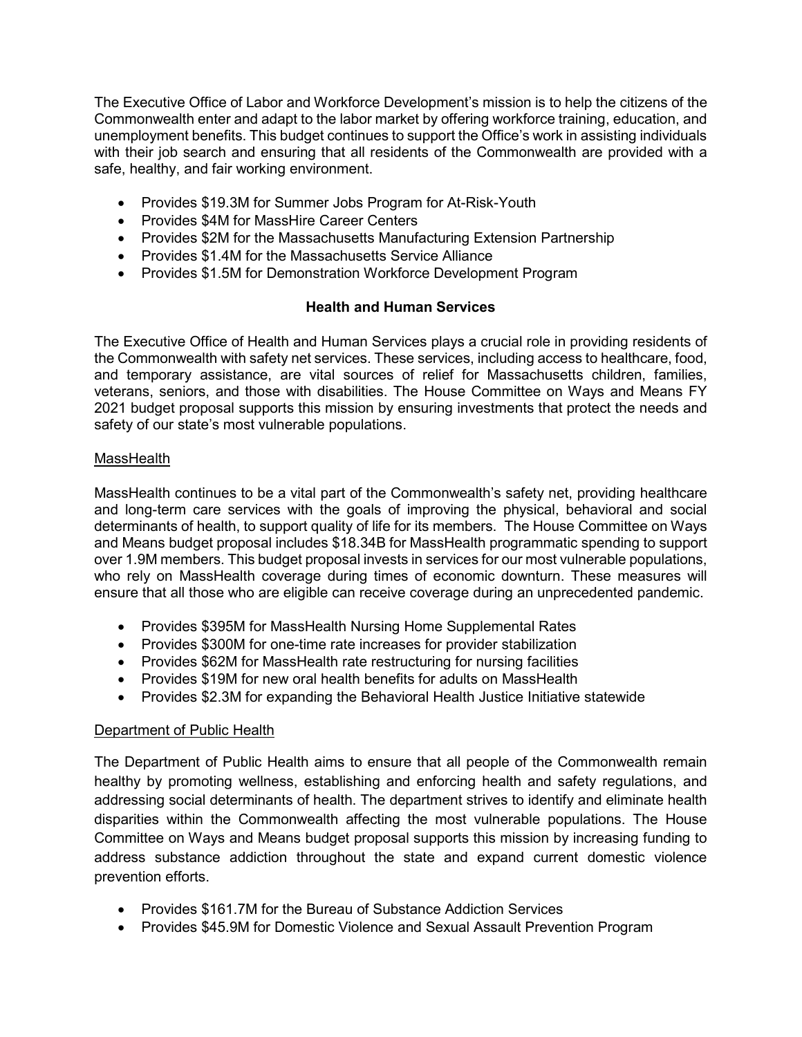The Executive Office of Labor and Workforce Development's mission is to help the citizens of the Commonwealth enter and adapt to the labor market by offering workforce training, education, and unemployment benefits. This budget continues to support the Office's work in assisting individuals with their job search and ensuring that all residents of the Commonwealth are provided with a safe, healthy, and fair working environment.

- Provides \$19.3M for Summer Jobs Program for At-Risk-Youth
- Provides \$4M for MassHire Career Centers
- Provides \$2M for the Massachusetts Manufacturing Extension Partnership
- Provides \$1.4M for the Massachusetts Service Alliance
- Provides \$1.5M for Demonstration Workforce Development Program

### **Health and Human Services**

The Executive Office of Health and Human Services plays a crucial role in providing residents of the Commonwealth with safety net services. These services, including access to healthcare, food, and temporary assistance, are vital sources of relief for Massachusetts children, families, veterans, seniors, and those with disabilities. The House Committee on Ways and Means FY 2021 budget proposal supports this mission by ensuring investments that protect the needs and safety of our state's most vulnerable populations.

#### MassHealth

MassHealth continues to be a vital part of the Commonwealth's safety net, providing healthcare and long-term care services with the goals of improving the physical, behavioral and social determinants of health, to support quality of life for its members. The House Committee on Ways and Means budget proposal includes \$18.34B for MassHealth programmatic spending to support over 1.9M members. This budget proposal invests in services for our most vulnerable populations, who rely on MassHealth coverage during times of economic downturn. These measures will ensure that all those who are eligible can receive coverage during an unprecedented pandemic.

- Provides \$395M for MassHealth Nursing Home Supplemental Rates
- Provides \$300M for one-time rate increases for provider stabilization
- Provides \$62M for MassHealth rate restructuring for nursing facilities
- Provides \$19M for new oral health benefits for adults on MassHealth
- Provides \$2.3M for expanding the Behavioral Health Justice Initiative statewide

### Department of Public Health

The Department of Public Health aims to ensure that all people of the Commonwealth remain healthy by promoting wellness, establishing and enforcing health and safety regulations, and addressing social determinants of health. The department strives to identify and eliminate health disparities within the Commonwealth affecting the most vulnerable populations. The House Committee on Ways and Means budget proposal supports this mission by increasing funding to address substance addiction throughout the state and expand current domestic violence prevention efforts.

- Provides \$161.7M for the Bureau of Substance Addiction Services
- Provides \$45.9M for Domestic Violence and Sexual Assault Prevention Program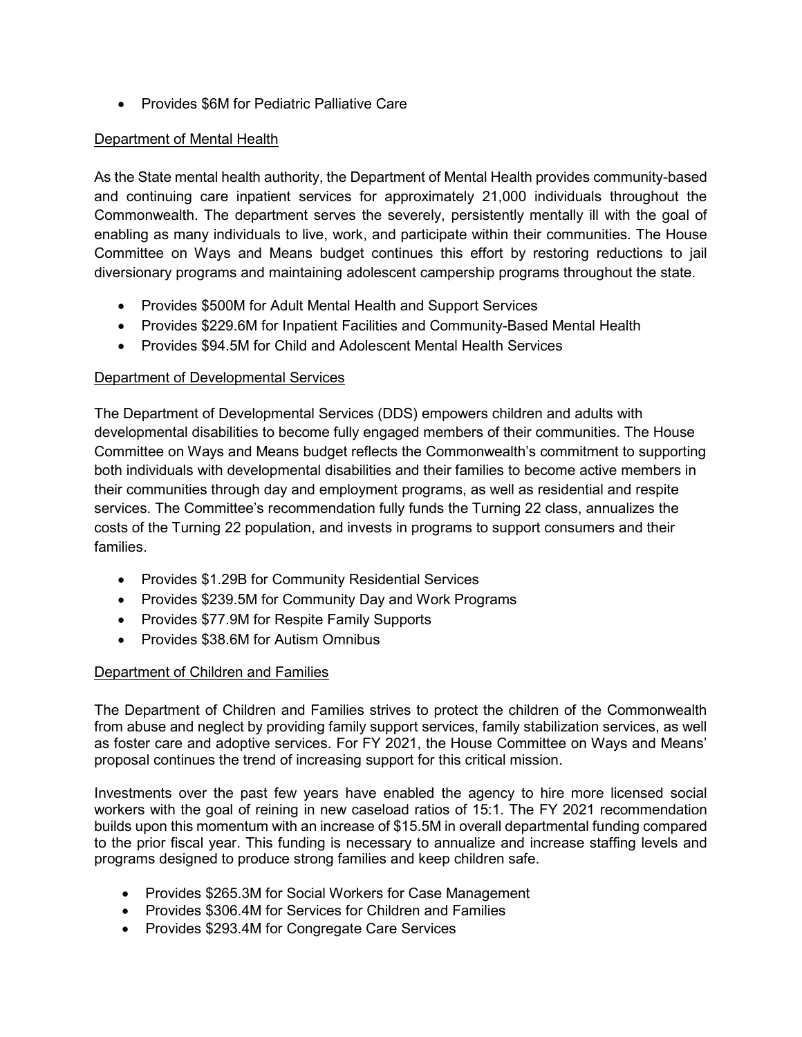• Provides \$6M for Pediatric Palliative Care

### Department of Mental Health

As the State mental health authority, the Department of Mental Health provides community-based and continuing care inpatient services for approximately 21,000 individuals throughout the Commonwealth. The department serves the severely, persistently mentally ill with the goal of enabling as many individuals to live, work, and participate within their communities. The House Committee on Ways and Means budget continues this effort by restoring reductions to jail diversionary programs and maintaining adolescent campership programs throughout the state.

- Provides \$500M for Adult Mental Health and Support Services
- Provides \$229.6M for Inpatient Facilities and Community-Based Mental Health
- Provides \$94.5M for Child and Adolescent Mental Health Services

## Department of Developmental Services

The Department of Developmental Services (DDS) empowers children and adults with developmental disabilities to become fully engaged members of their communities. The House Committee on Ways and Means budget reflects the Commonwealth's commitment to supporting both individuals with developmental disabilities and their families to become active members in their communities through day and employment programs, as well as residential and respite services. The Committee's recommendation fully funds the Turning 22 class, annualizes the costs of the Turning 22 population, and invests in programs to support consumers and their families.

- Provides \$1.29B for Community Residential Services
- Provides \$239.5M for Community Day and Work Programs
- Provides \$77.9M for Respite Family Supports
- Provides \$38.6M for Autism Omnibus

## Department of Children and Families

The Department of Children and Families strives to protect the children of the Commonwealth from abuse and neglect by providing family support services, family stabilization services, as well as foster care and adoptive services. For FY 2021, the House Committee on Ways and Means' proposal continues the trend of increasing support for this critical mission.

Investments over the past few years have enabled the agency to hire more licensed social workers with the goal of reining in new caseload ratios of 15:1. The FY 2021 recommendation builds upon this momentum with an increase of \$15.5M in overall departmental funding compared to the prior fiscal year. This funding is necessary to annualize and increase staffing levels and programs designed to produce strong families and keep children safe.

- Provides \$265.3M for Social Workers for Case Management
- Provides \$306.4M for Services for Children and Families
- Provides \$293.4M for Congregate Care Services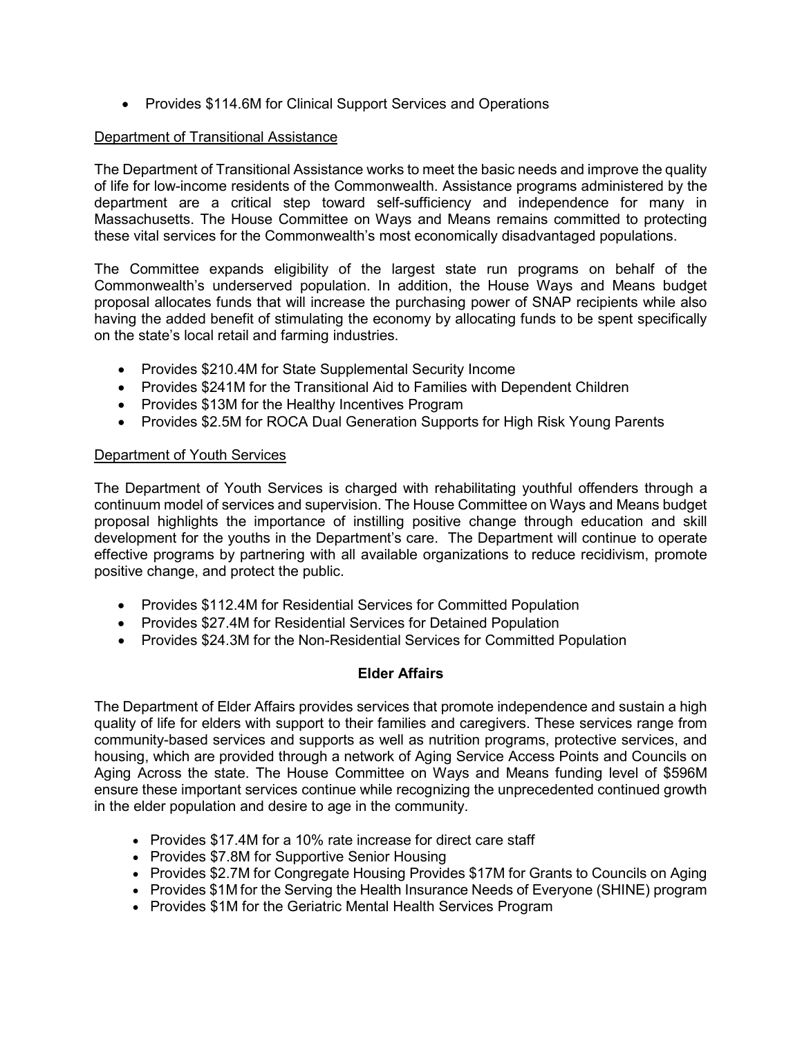• Provides \$114.6M for Clinical Support Services and Operations

### Department of Transitional Assistance

The Department of Transitional Assistance works to meet the basic needs and improve the quality of life for low-income residents of the Commonwealth. Assistance programs administered by the department are a critical step toward self-sufficiency and independence for many in Massachusetts. The House Committee on Ways and Means remains committed to protecting these vital services for the Commonwealth's most economically disadvantaged populations.

The Committee expands eligibility of the largest state run programs on behalf of the Commonwealth's underserved population. In addition, the House Ways and Means budget proposal allocates funds that will increase the purchasing power of SNAP recipients while also having the added benefit of stimulating the economy by allocating funds to be spent specifically on the state's local retail and farming industries.

- Provides \$210.4M for State Supplemental Security Income
- Provides \$241M for the Transitional Aid to Families with Dependent Children
- Provides \$13M for the Healthy Incentives Program
- Provides \$2.5M for ROCA Dual Generation Supports for High Risk Young Parents

#### Department of Youth Services

The Department of Youth Services is charged with rehabilitating youthful offenders through a continuum model of services and supervision. The House Committee on Ways and Means budget proposal highlights the importance of instilling positive change through education and skill development for the youths in the Department's care. The Department will continue to operate effective programs by partnering with all available organizations to reduce recidivism, promote positive change, and protect the public.

- Provides \$112.4M for Residential Services for Committed Population
- Provides \$27.4M for Residential Services for Detained Population
- Provides \$24.3M for the Non-Residential Services for Committed Population

### **Elder Affairs**

The Department of Elder Affairs provides services that promote independence and sustain a high quality of life for elders with support to their families and caregivers. These services range from community-based services and supports as well as nutrition programs, protective services, and housing, which are provided through a network of Aging Service Access Points and Councils on Aging Across the state. The House Committee on Ways and Means funding level of \$596M ensure these important services continue while recognizing the unprecedented continued growth in the elder population and desire to age in the community.

- Provides \$17.4M for a 10% rate increase for direct care staff
- Provides \$7.8M for Supportive Senior Housing
- Provides \$2.7M for Congregate Housing Provides \$17M for Grants to Councils on Aging
- Provides \$1M for the Serving the Health Insurance Needs of Everyone (SHINE) program
- Provides \$1M for the Geriatric Mental Health Services Program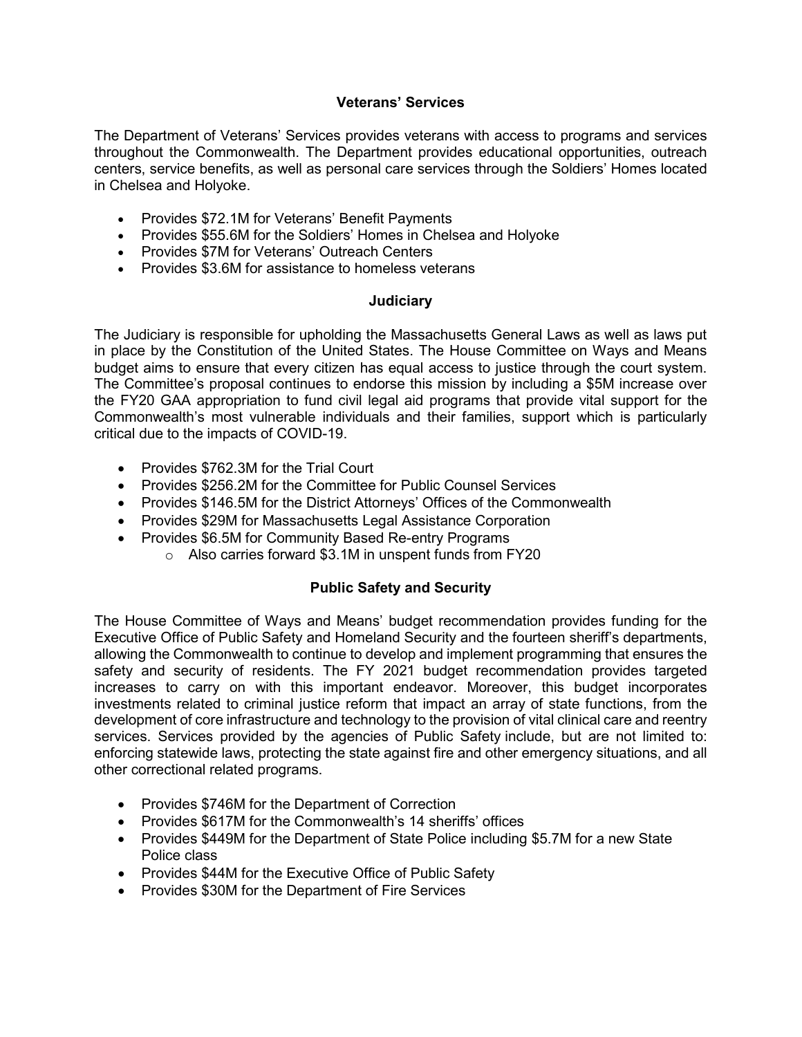### **Veterans' Services**

The Department of Veterans' Services provides veterans with access to programs and services throughout the Commonwealth. The Department provides educational opportunities, outreach centers, service benefits, as well as personal care services through the Soldiers' Homes located in Chelsea and Holyoke.

- Provides \$72.1M for Veterans' Benefit Payments
- Provides \$55.6M for the Soldiers' Homes in Chelsea and Holyoke
- Provides \$7M for Veterans' Outreach Centers
- Provides \$3.6M for assistance to homeless veterans

### **Judiciary**

The Judiciary is responsible for upholding the Massachusetts General Laws as well as laws put in place by the Constitution of the United States. The House Committee on Ways and Means budget aims to ensure that every citizen has equal access to justice through the court system. The Committee's proposal continues to endorse this mission by including a \$5M increase over the FY20 GAA appropriation to fund civil legal aid programs that provide vital support for the Commonwealth's most vulnerable individuals and their families, support which is particularly critical due to the impacts of COVID-19.

- Provides \$762.3M for the Trial Court
- Provides \$256.2M for the Committee for Public Counsel Services
- Provides \$146.5M for the District Attorneys' Offices of the Commonwealth
- Provides \$29M for Massachusetts Legal Assistance Corporation
- Provides \$6.5M for Community Based Re-entry Programs
	- o Also carries forward \$3.1M in unspent funds from FY20

## **Public Safety and Security**

The House Committee of Ways and Means' budget recommendation provides funding for the Executive Office of Public Safety and Homeland Security and the fourteen sheriff's departments, allowing the Commonwealth to continue to develop and implement programming that ensures the safety and security of residents. The FY 2021 budget recommendation provides targeted increases to carry on with this important endeavor. Moreover, this budget incorporates investments related to criminal justice reform that impact an array of state functions, from the development of core infrastructure and technology to the provision of vital clinical care and reentry services. Services provided by the agencies of Public Safety include, but are not limited to: enforcing statewide laws, protecting the state against fire and other emergency situations, and all other correctional related programs.

- Provides \$746M for the Department of Correction
- Provides \$617M for the Commonwealth's 14 sheriffs' offices
- Provides \$449M for the Department of State Police including \$5.7M for a new State Police class
- Provides \$44M for the Executive Office of Public Safety
- Provides \$30M for the Department of Fire Services